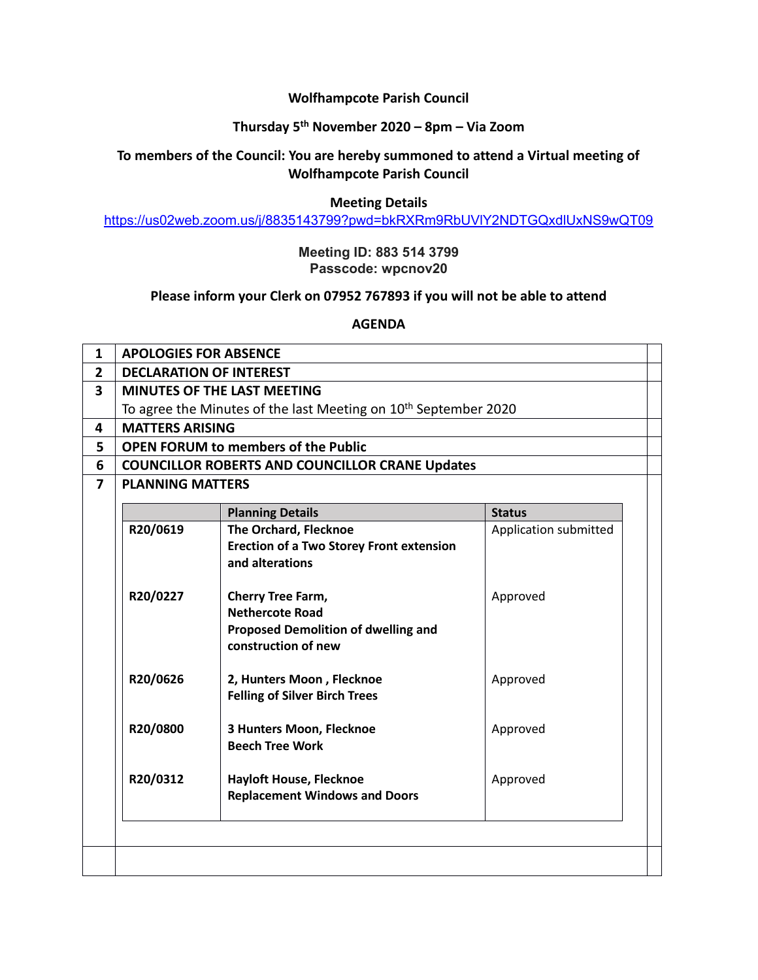## **Wolfhampcote Parish Council**

# **Thursday 5 th November 2020 – 8pm – Via Zoom**

# **To members of the Council: You are hereby summoned to attend a Virtual meeting of Wolfhampcote Parish Council**

#### **Meeting Details**

<https://us02web.zoom.us/j/8835143799?pwd=bkRXRm9RbUVlY2NDTGQxdlUxNS9wQT09>

## **Meeting ID: 883 514 3799 Passcode: wpcnov20**

## **Please inform your Clerk on 07952 767893 if you will not be able to attend**

**AGENDA**

| $\mathbf{1}$   | <b>APOLOGIES FOR ABSENCE</b>                                                |                                                 |                       |  |
|----------------|-----------------------------------------------------------------------------|-------------------------------------------------|-----------------------|--|
| $\overline{2}$ | <b>DECLARATION OF INTEREST</b>                                              |                                                 |                       |  |
| 3              | <b>MINUTES OF THE LAST MEETING</b>                                          |                                                 |                       |  |
|                | To agree the Minutes of the last Meeting on 10 <sup>th</sup> September 2020 |                                                 |                       |  |
| 4              | <b>MATTERS ARISING</b>                                                      |                                                 |                       |  |
| 5              | <b>OPEN FORUM to members of the Public</b>                                  |                                                 |                       |  |
| 6              | <b>COUNCILLOR ROBERTS AND COUNCILLOR CRANE Updates</b>                      |                                                 |                       |  |
| $\overline{7}$ | <b>PLANNING MATTERS</b>                                                     |                                                 |                       |  |
|                |                                                                             | <b>Planning Details</b>                         | <b>Status</b>         |  |
|                | R20/0619                                                                    | <b>The Orchard, Flecknoe</b>                    |                       |  |
|                |                                                                             | <b>Erection of a Two Storey Front extension</b> | Application submitted |  |
|                |                                                                             | and alterations                                 |                       |  |
|                |                                                                             |                                                 |                       |  |
|                | R20/0227                                                                    | Cherry Tree Farm,                               | Approved              |  |
|                |                                                                             | <b>Nethercote Road</b>                          |                       |  |
|                |                                                                             | <b>Proposed Demolition of dwelling and</b>      |                       |  |
|                |                                                                             | construction of new                             |                       |  |
|                |                                                                             |                                                 |                       |  |
|                | R20/0626                                                                    | 2, Hunters Moon, Flecknoe                       | Approved              |  |
|                |                                                                             | <b>Felling of Silver Birch Trees</b>            |                       |  |
|                |                                                                             |                                                 |                       |  |
|                | R20/0800                                                                    | 3 Hunters Moon, Flecknoe                        | Approved              |  |
|                |                                                                             | <b>Beech Tree Work</b>                          |                       |  |
|                |                                                                             |                                                 |                       |  |
|                | R20/0312                                                                    | <b>Hayloft House, Flecknoe</b>                  | Approved              |  |
|                |                                                                             | <b>Replacement Windows and Doors</b>            |                       |  |
|                |                                                                             |                                                 |                       |  |
|                |                                                                             |                                                 |                       |  |
|                |                                                                             |                                                 |                       |  |
|                |                                                                             |                                                 |                       |  |